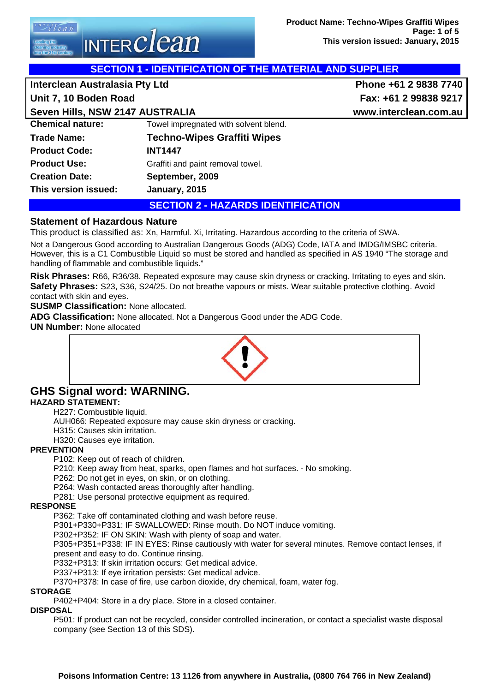'l e a n INTER $\emph{clean}$ 

| <b>SECTION 1 - IDENTIFICATION OF THE MATERIAL AND SUPPLIER</b> |                       |  |  |
|----------------------------------------------------------------|-----------------------|--|--|
| Interclean Australasia Pty Ltd                                 | Phone +61 2 9838 7740 |  |  |
|                                                                | Fax: +61 2 99838 9217 |  |  |
| Seven Hills, NSW 2147 AUSTRALIA                                | www.interclean.com.au |  |  |
| Towel impregnated with solvent blend.                          |                       |  |  |
| <b>Techno-Wipes Graffiti Wipes</b>                             |                       |  |  |
| <b>INT1447</b>                                                 |                       |  |  |
| Graffiti and paint removal towel.                              |                       |  |  |
| September, 2009                                                |                       |  |  |
|                                                                |                       |  |  |

# **This version issued: January, 2015**

**SECTION 2 - HAZARDS IDENTIFICATION** 

# **Statement of Hazardous Nature**

This product is classified as: Xn, Harmful. Xi, Irritating. Hazardous according to the criteria of SWA.

Not a Dangerous Good according to Australian Dangerous Goods (ADG) Code, IATA and IMDG/IMSBC criteria. However, this is a C1 Combustible Liquid so must be stored and handled as specified in AS 1940 "The storage and handling of flammable and combustible liquids."

**Risk Phrases:** R66, R36/38. Repeated exposure may cause skin dryness or cracking. Irritating to eyes and skin. **Safety Phrases:** S23, S36, S24/25. Do not breathe vapours or mists. Wear suitable protective clothing. Avoid contact with skin and eyes.

**SUSMP Classification:** None allocated.

**ADG Classification:** None allocated. Not a Dangerous Good under the ADG Code.

**UN Number:** None allocated



#### **GHS Signal word: WARNING. HAZARD STATEMENT:**

H227: Combustible liquid.

AUH066: Repeated exposure may cause skin dryness or cracking.

H315: Causes skin irritation.

H320: Causes eye irritation.

#### **PREVENTION**

P102: Keep out of reach of children.

P210: Keep away from heat, sparks, open flames and hot surfaces. - No smoking.

P262: Do not get in eyes, on skin, or on clothing.

P264: Wash contacted areas thoroughly after handling.

P281: Use personal protective equipment as required.

#### **RESPONSE**

P362: Take off contaminated clothing and wash before reuse.

P301+P330+P331: IF SWALLOWED: Rinse mouth. Do NOT induce vomiting.

P302+P352: IF ON SKIN: Wash with plenty of soap and water.

P305+P351+P338: IF IN EYES: Rinse cautiously with water for several minutes. Remove contact lenses, if present and easy to do. Continue rinsing.

P332+P313: If skin irritation occurs: Get medical advice.

P337+P313: If eye irritation persists: Get medical advice.

P370+P378: In case of fire, use carbon dioxide, dry chemical, foam, water fog.

#### **STORAGE**

P402+P404: Store in a dry place. Store in a closed container.

#### **DISPOSAL**

P501: If product can not be recycled, consider controlled incineration, or contact a specialist waste disposal company (see Section 13 of this SDS).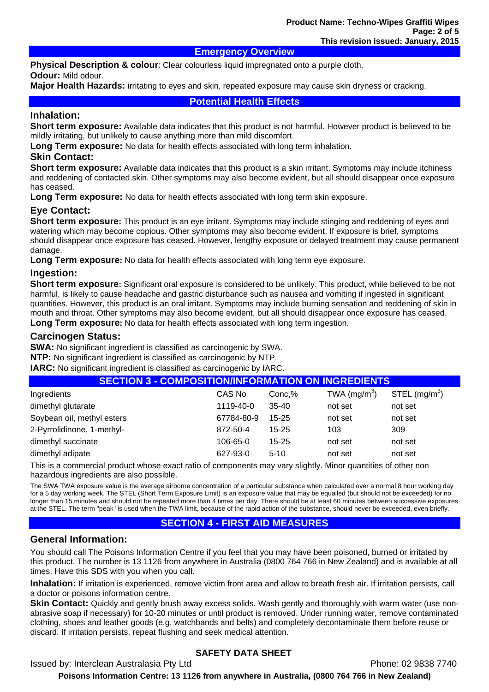#### **Emergency Overview**

**Physical Description & colour**: Clear colourless liquid impregnated onto a purple cloth.

#### **Odour:** Mild odour.

**Major Health Hazards:** irritating to eyes and skin, repeated exposure may cause skin dryness or cracking.

#### **Potential Health Effects**

#### **Inhalation:**

**Short term exposure:** Available data indicates that this product is not harmful. However product is believed to be mildly irritating, but unlikely to cause anything more than mild discomfort.

**Long Term exposure:** No data for health effects associated with long term inhalation.

#### **Skin Contact:**

**Short term exposure:** Available data indicates that this product is a skin irritant. Symptoms may include itchiness and reddening of contacted skin. Other symptoms may also become evident, but all should disappear once exposure has ceased.

**Long Term exposure:** No data for health effects associated with long term skin exposure.

#### **Eye Contact:**

**Short term exposure:** This product is an eye irritant. Symptoms may include stinging and reddening of eyes and watering which may become copious. Other symptoms may also become evident. If exposure is brief, symptoms should disappear once exposure has ceased. However, lengthy exposure or delayed treatment may cause permanent damage.

**Long Term exposure:** No data for health effects associated with long term eye exposure.

#### **Ingestion:**

**Short term exposure:** Significant oral exposure is considered to be unlikely. This product, while believed to be not harmful, is likely to cause headache and gastric disturbance such as nausea and vomiting if ingested in significant quantities. However, this product is an oral irritant. Symptoms may include burning sensation and reddening of skin in mouth and throat. Other symptoms may also become evident, but all should disappear once exposure has ceased.

**Long Term exposure:** No data for health effects associated with long term ingestion.

#### **Carcinogen Status:**

**SWA:** No significant ingredient is classified as carcinogenic by SWA.

**NTP:** No significant ingredient is classified as carcinogenic by NTP.

**IARC:** No significant ingredient is classified as carcinogenic by IARC.

| <b>SECTION 3 - COMPOSITION/INFORMATION ON INGREDIENTS</b> |            |           |               |                |
|-----------------------------------------------------------|------------|-----------|---------------|----------------|
| Ingredients                                               | CAS No     | Conc,%    | TWA $(mg/m3)$ | STEL $(mg/m3)$ |
| dimethyl glutarate                                        | 1119-40-0  | $35 - 40$ | not set       | not set        |
| Soybean oil, methyl esters                                | 67784-80-9 | 15-25     | not set       | not set        |
| 2-Pyrrolidinone, 1-methyl-                                | 872-50-4   | $15 - 25$ | 103           | 309            |
| dimethyl succinate                                        | 106-65-0   | $15 - 25$ | not set       | not set        |
| dimethyl adipate                                          | 627-93-0   | $5-10$    | not set       | not set        |

This is a commercial product whose exact ratio of components may vary slightly. Minor quantities of other non hazardous ingredients are also possible.

The SWA TWA exposure value is the average airborne concentration of a particular substance when calculated over a normal 8 hour working day for a 5 day working week. The STEL (Short Term Exposure Limit) is an exposure value that may be equalled (but should not be exceeded) for no longer than 15 minutes and should not be repeated more than 4 times per day. There should be at least 60 minutes between successive exposures at the STEL. The term "peak "is used when the TWA limit, because of the rapid action of the substance, should never be exceeded, even briefly.

# **SECTION 4 - FIRST AID MEASURES**

# **General Information:**

You should call The Poisons Information Centre if you feel that you may have been poisoned, burned or irritated by this product. The number is 13 1126 from anywhere in Australia (0800 764 766 in New Zealand) and is available at all times. Have this SDS with you when you call.

**Inhalation:** If irritation is experienced, remove victim from area and allow to breath fresh air. If irritation persists, call a doctor or poisons information centre.

**Skin Contact:** Quickly and gently brush away excess solids. Wash gently and thoroughly with warm water (use nonabrasive soap if necessary) for 10-20 minutes or until product is removed. Under running water, remove contaminated clothing, shoes and leather goods (e.g. watchbands and belts) and completely decontaminate them before reuse or discard. If irritation persists, repeat flushing and seek medical attention.

# **SAFETY DATA SHEET**

Issued by: Interclean Australasia Pty Ltd **Phone: 02 9838 7740** Phone: 02 9838 7740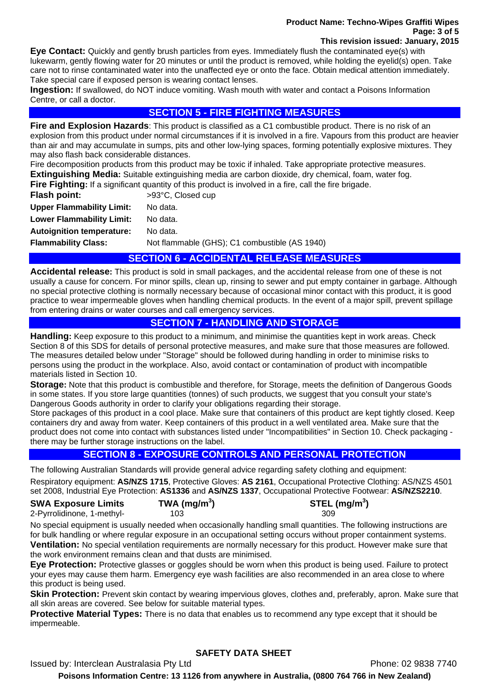#### **Product Name: Techno-Wipes Graffiti Wipes Page: 3 of 5 This revision issued: January, 2015**

**Eye Contact:** Quickly and gently brush particles from eyes. Immediately flush the contaminated eye(s) with lukewarm, gently flowing water for 20 minutes or until the product is removed, while holding the eyelid(s) open. Take care not to rinse contaminated water into the unaffected eye or onto the face. Obtain medical attention immediately. Take special care if exposed person is wearing contact lenses.

**Ingestion:** If swallowed, do NOT induce vomiting. Wash mouth with water and contact a Poisons Information Centre, or call a doctor.

#### **SECTION 5 - FIRE FIGHTING MEASURES**

**Fire and Explosion Hazards**: This product is classified as a C1 combustible product. There is no risk of an explosion from this product under normal circumstances if it is involved in a fire. Vapours from this product are heavier than air and may accumulate in sumps, pits and other low-lying spaces, forming potentially explosive mixtures. They may also flash back considerable distances.

Fire decomposition products from this product may be toxic if inhaled. Take appropriate protective measures.

**Extinguishing Media:** Suitable extinguishing media are carbon dioxide, dry chemical, foam, water fog.

**Fire Fighting:** If a significant quantity of this product is involved in a fire, call the fire brigade.

| <b>Flash point:</b>              | >93°C, Closed cup                             |
|----------------------------------|-----------------------------------------------|
| <b>Upper Flammability Limit:</b> | No data.                                      |
| <b>Lower Flammability Limit:</b> | No data.                                      |
| <b>Autoignition temperature:</b> | No data.                                      |
| <b>Flammability Class:</b>       | Not flammable (GHS); C1 combustible (AS 1940) |
|                                  | AFATIALI A                                    |

# **SECTION 6 - ACCIDENTAL RELEASE MEASURES**

**Accidental release:** This product is sold in small packages, and the accidental release from one of these is not usually a cause for concern. For minor spills, clean up, rinsing to sewer and put empty container in garbage. Although no special protective clothing is normally necessary because of occasional minor contact with this product, it is good practice to wear impermeable gloves when handling chemical products. In the event of a major spill, prevent spillage from entering drains or water courses and call emergency services.

# **SECTION 7 - HANDLING AND STORAGE**

**Handling:** Keep exposure to this product to a minimum, and minimise the quantities kept in work areas. Check Section 8 of this SDS for details of personal protective measures, and make sure that those measures are followed. The measures detailed below under "Storage" should be followed during handling in order to minimise risks to persons using the product in the workplace. Also, avoid contact or contamination of product with incompatible materials listed in Section 10.

**Storage:** Note that this product is combustible and therefore, for Storage, meets the definition of Dangerous Goods in some states. If you store large quantities (tonnes) of such products, we suggest that you consult your state's Dangerous Goods authority in order to clarify your obligations regarding their storage.

Store packages of this product in a cool place. Make sure that containers of this product are kept tightly closed. Keep containers dry and away from water. Keep containers of this product in a well ventilated area. Make sure that the product does not come into contact with substances listed under "Incompatibilities" in Section 10. Check packaging there may be further storage instructions on the label.

# **SECTION 8 - EXPOSURE CONTROLS AND PERSONAL PROTECTION**

The following Australian Standards will provide general advice regarding safety clothing and equipment:

Respiratory equipment: **AS/NZS 1715**, Protective Gloves: **AS 2161**, Occupational Protective Clothing: AS/NZS 4501 set 2008, Industrial Eye Protection: **AS1336** and **AS/NZS 1337**, Occupational Protective Footwear: **AS/NZS2210**.

| <b>SWA Exposure Limits</b> | TWA (mg/m <sup>3</sup> ) | STEL (mg/m <sup>3</sup> ) |
|----------------------------|--------------------------|---------------------------|
| 2-Pyrrolidinone, 1-methyl- | 103.                     | 309                       |

No special equipment is usually needed when occasionally handling small quantities. The following instructions are for bulk handling or where regular exposure in an occupational setting occurs without proper containment systems. **Ventilation:** No special ventilation requirements are normally necessary for this product. However make sure that the work environment remains clean and that dusts are minimised.

**Eye Protection:** Protective glasses or goggles should be worn when this product is being used. Failure to protect your eyes may cause them harm. Emergency eye wash facilities are also recommended in an area close to where this product is being used.

**Skin Protection:** Prevent skin contact by wearing impervious gloves, clothes and, preferably, apron. Make sure that all skin areas are covered. See below for suitable material types.

**Protective Material Types:** There is no data that enables us to recommend any type except that it should be impermeable.

# **SAFETY DATA SHEET**

Issued by: Interclean Australasia Pty Ltd **Phone: 02 9838 7740** Phone: 02 9838 7740

**Poisons Information Centre: 13 1126 from anywhere in Australia, (0800 764 766 in New Zealand)**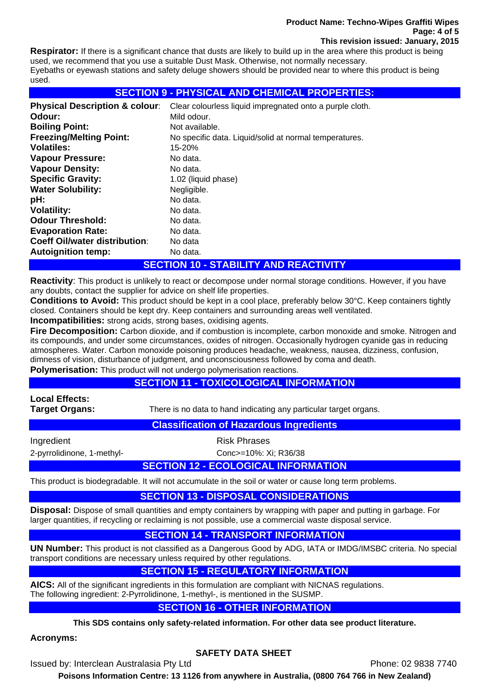#### **Product Name: Techno-Wipes Graffiti Wipes Page: 4 of 5 This revision issued: January, 2015**

**Respirator:** If there is a significant chance that dusts are likely to build up in the area where this product is being used, we recommend that you use a suitable Dust Mask. Otherwise, not normally necessary. Eyebaths or eyewash stations and safety deluge showers should be provided near to where this product is being used.

# **SECTION 9 - PHYSICAL AND CHEMICAL PROPERTIES:**

| <b>Physical Description &amp; colour:</b> | Clear colourless liquid impregnated onto a purple cloth. |
|-------------------------------------------|----------------------------------------------------------|
| Odour:                                    | Mild odour.                                              |
| <b>Boiling Point:</b>                     | Not available.                                           |
| <b>Freezing/Melting Point:</b>            | No specific data. Liquid/solid at normal temperatures.   |
| <b>Volatiles:</b>                         | 15-20%                                                   |
| <b>Vapour Pressure:</b>                   | No data.                                                 |
| <b>Vapour Density:</b>                    | No data.                                                 |
| <b>Specific Gravity:</b>                  | 1.02 (liquid phase)                                      |
| <b>Water Solubility:</b>                  | Negligible.                                              |
| pH:                                       | No data.                                                 |
| <b>Volatility:</b>                        | No data.                                                 |
| <b>Odour Threshold:</b>                   | No data.                                                 |
| <b>Evaporation Rate:</b>                  | No data.                                                 |
| <b>Coeff Oil/water distribution:</b>      | No data                                                  |
| <b>Autoignition temp:</b>                 | No data.                                                 |

# **SECTION 10 - STABILITY AND REACTIVITY**

**Reactivity**: This product is unlikely to react or decompose under normal storage conditions. However, if you have any doubts, contact the supplier for advice on shelf life properties.

**Conditions to Avoid:** This product should be kept in a cool place, preferably below 30°C. Keep containers tightly closed. Containers should be kept dry. Keep containers and surrounding areas well ventilated.

**Incompatibilities:** strong acids, strong bases, oxidising agents.

**Fire Decomposition:** Carbon dioxide, and if combustion is incomplete, carbon monoxide and smoke. Nitrogen and its compounds, and under some circumstances, oxides of nitrogen. Occasionally hydrogen cyanide gas in reducing atmospheres. Water. Carbon monoxide poisoning produces headache, weakness, nausea, dizziness, confusion, dimness of vision, disturbance of judgment, and unconsciousness followed by coma and death.

**Polymerisation:** This product will not undergo polymerisation reactions.

# **SECTION 11 - TOXICOLOGICAL INFORMATION**

**Local Effects:** 

**Target Organs:** There is no data to hand indicating any particular target organs.

#### **Classification of Hazardous Ingredients**

Ingredient **Risk Phrases** 

2-pyrrolidinone, 1-methyl- Conc>=10%: Xi; R36/38

# **SECTION 12 - ECOLOGICAL INFORMATION**

This product is biodegradable. It will not accumulate in the soil or water or cause long term problems.

# **SECTION 13 - DISPOSAL CONSIDERATIONS**

**Disposal:** Dispose of small quantities and empty containers by wrapping with paper and putting in garbage. For larger quantities, if recycling or reclaiming is not possible, use a commercial waste disposal service.

# **SECTION 14 - TRANSPORT INFORMATION**

**UN Number:** This product is not classified as a Dangerous Good by ADG, IATA or IMDG/IMSBC criteria. No special transport conditions are necessary unless required by other regulations.

# **SECTION 15 - REGULATORY INFORMATION**

**AICS:** All of the significant ingredients in this formulation are compliant with NICNAS regulations. The following ingredient: 2-Pyrrolidinone, 1-methyl-, is mentioned in the SUSMP.

# **SECTION 16 - OTHER INFORMATION**

**This SDS contains only safety-related information. For other data see product literature.** 

**Acronyms:** 

# **SAFETY DATA SHEET**

Issued by: Interclean Australasia Pty Ltd **Phone: 02 9838 7740** Phone: 02 9838 7740

**Poisons Information Centre: 13 1126 from anywhere in Australia, (0800 764 766 in New Zealand)**